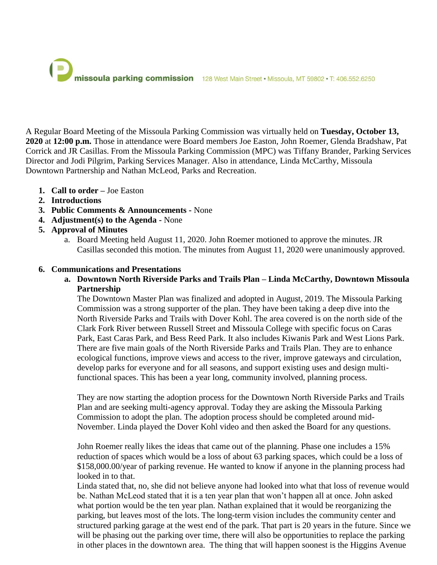

A Regular Board Meeting of the Missoula Parking Commission was virtually held on **Tuesday, October 13, 2020** at **12:00 p.m.** Those in attendance were Board members Joe Easton, John Roemer, Glenda Bradshaw, Pat Corrick and JR Casillas. From the Missoula Parking Commission (MPC) was Tiffany Brander, Parking Services Director and Jodi Pilgrim, Parking Services Manager. Also in attendance, Linda McCarthy, Missoula Downtown Partnership and Nathan McLeod, Parks and Recreation.

- **1. Call to order –** Joe Easton
- **2. Introductions**
- **3. Public Comments & Announcements -** None
- **4. Adjustment(s) to the Agenda -** None
- **5. Approval of Minutes**
	- a. Board Meeting held August 11, 2020. John Roemer motioned to approve the minutes. JR Casillas seconded this motion. The minutes from August 11, 2020 were unanimously approved.

### **6. Communications and Presentations**

**a. Downtown North Riverside Parks and Trails Plan – Linda McCarthy, Downtown Missoula Partnership**

The Downtown Master Plan was finalized and adopted in August, 2019. The Missoula Parking Commission was a strong supporter of the plan. They have been taking a deep dive into the North Riverside Parks and Trails with Dover Kohl. The area covered is on the north side of the Clark Fork River between Russell Street and Missoula College with specific focus on Caras Park, East Caras Park, and Bess Reed Park. It also includes Kiwanis Park and West Lions Park. There are five main goals of the North Riverside Parks and Trails Plan. They are to enhance ecological functions, improve views and access to the river, improve gateways and circulation, develop parks for everyone and for all seasons, and support existing uses and design multifunctional spaces. This has been a year long, community involved, planning process.

They are now starting the adoption process for the Downtown North Riverside Parks and Trails Plan and are seeking multi-agency approval. Today they are asking the Missoula Parking Commission to adopt the plan. The adoption process should be completed around mid-November. Linda played the Dover Kohl video and then asked the Board for any questions.

John Roemer really likes the ideas that came out of the planning. Phase one includes a 15% reduction of spaces which would be a loss of about 63 parking spaces, which could be a loss of \$158,000.00/year of parking revenue. He wanted to know if anyone in the planning process had looked in to that.

Linda stated that, no, she did not believe anyone had looked into what that loss of revenue would be. Nathan McLeod stated that it is a ten year plan that won't happen all at once. John asked what portion would be the ten year plan. Nathan explained that it would be reorganizing the parking, but leaves most of the lots. The long-term vision includes the community center and structured parking garage at the west end of the park. That part is 20 years in the future. Since we will be phasing out the parking over time, there will also be opportunities to replace the parking in other places in the downtown area. The thing that will happen soonest is the Higgins Avenue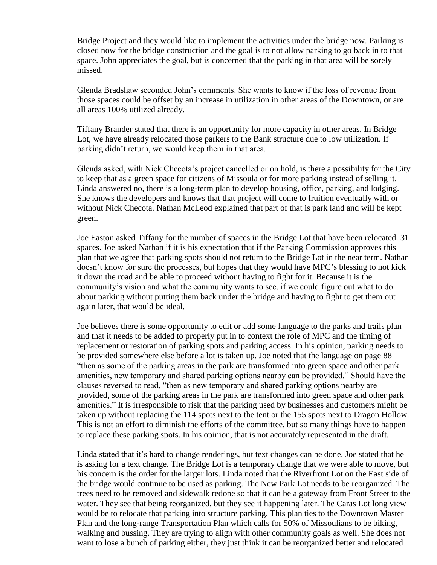Bridge Project and they would like to implement the activities under the bridge now. Parking is closed now for the bridge construction and the goal is to not allow parking to go back in to that space. John appreciates the goal, but is concerned that the parking in that area will be sorely missed.

Glenda Bradshaw seconded John's comments. She wants to know if the loss of revenue from those spaces could be offset by an increase in utilization in other areas of the Downtown, or are all areas 100% utilized already.

Tiffany Brander stated that there is an opportunity for more capacity in other areas. In Bridge Lot, we have already relocated those parkers to the Bank structure due to low utilization. If parking didn't return, we would keep them in that area.

Glenda asked, with Nick Checota's project cancelled or on hold, is there a possibility for the City to keep that as a green space for citizens of Missoula or for more parking instead of selling it. Linda answered no, there is a long-term plan to develop housing, office, parking, and lodging. She knows the developers and knows that that project will come to fruition eventually with or without Nick Checota. Nathan McLeod explained that part of that is park land and will be kept green.

Joe Easton asked Tiffany for the number of spaces in the Bridge Lot that have been relocated. 31 spaces. Joe asked Nathan if it is his expectation that if the Parking Commission approves this plan that we agree that parking spots should not return to the Bridge Lot in the near term. Nathan doesn't know for sure the processes, but hopes that they would have MPC's blessing to not kick it down the road and be able to proceed without having to fight for it. Because it is the community's vision and what the community wants to see, if we could figure out what to do about parking without putting them back under the bridge and having to fight to get them out again later, that would be ideal.

Joe believes there is some opportunity to edit or add some language to the parks and trails plan and that it needs to be added to properly put in to context the role of MPC and the timing of replacement or restoration of parking spots and parking access. In his opinion, parking needs to be provided somewhere else before a lot is taken up. Joe noted that the language on page 88 "then as some of the parking areas in the park are transformed into green space and other park amenities, new temporary and shared parking options nearby can be provided." Should have the clauses reversed to read, "then as new temporary and shared parking options nearby are provided, some of the parking areas in the park are transformed into green space and other park amenities." It is irresponsible to risk that the parking used by businesses and customers might be taken up without replacing the 114 spots next to the tent or the 155 spots next to Dragon Hollow. This is not an effort to diminish the efforts of the committee, but so many things have to happen to replace these parking spots. In his opinion, that is not accurately represented in the draft.

Linda stated that it's hard to change renderings, but text changes can be done. Joe stated that he is asking for a text change. The Bridge Lot is a temporary change that we were able to move, but his concern is the order for the larger lots. Linda noted that the Riverfront Lot on the East side of the bridge would continue to be used as parking. The New Park Lot needs to be reorganized. The trees need to be removed and sidewalk redone so that it can be a gateway from Front Street to the water. They see that being reorganized, but they see it happening later. The Caras Lot long view would be to relocate that parking into structure parking. This plan ties to the Downtown Master Plan and the long-range Transportation Plan which calls for 50% of Missoulians to be biking, walking and bussing. They are trying to align with other community goals as well. She does not want to lose a bunch of parking either, they just think it can be reorganized better and relocated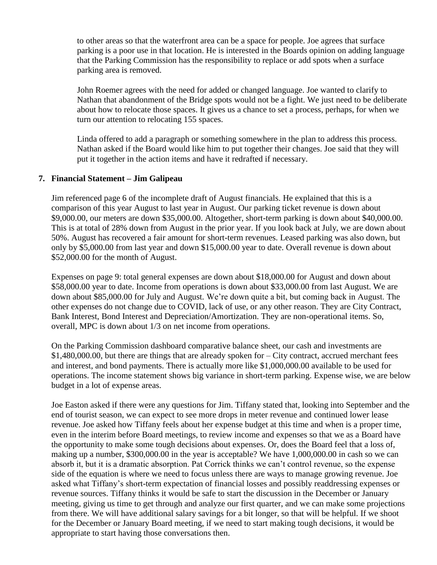to other areas so that the waterfront area can be a space for people. Joe agrees that surface parking is a poor use in that location. He is interested in the Boards opinion on adding language that the Parking Commission has the responsibility to replace or add spots when a surface parking area is removed.

John Roemer agrees with the need for added or changed language. Joe wanted to clarify to Nathan that abandonment of the Bridge spots would not be a fight. We just need to be deliberate about how to relocate those spaces. It gives us a chance to set a process, perhaps, for when we turn our attention to relocating 155 spaces.

Linda offered to add a paragraph or something somewhere in the plan to address this process. Nathan asked if the Board would like him to put together their changes. Joe said that they will put it together in the action items and have it redrafted if necessary.

### **7. Financial Statement – Jim Galipeau**

Jim referenced page 6 of the incomplete draft of August financials. He explained that this is a comparison of this year August to last year in August. Our parking ticket revenue is down about \$9,000.00, our meters are down \$35,000.00. Altogether, short-term parking is down about \$40,000.00. This is at total of 28% down from August in the prior year. If you look back at July, we are down about 50%. August has recovered a fair amount for short-term revenues. Leased parking was also down, but only by \$5,000.00 from last year and down \$15,000.00 year to date. Overall revenue is down about \$52,000.00 for the month of August.

Expenses on page 9: total general expenses are down about \$18,000.00 for August and down about \$58,000.00 year to date. Income from operations is down about \$33,000.00 from last August. We are down about \$85,000.00 for July and August. We're down quite a bit, but coming back in August. The other expenses do not change due to COVID, lack of use, or any other reason. They are City Contract, Bank Interest, Bond Interest and Depreciation/Amortization. They are non-operational items. So, overall, MPC is down about 1/3 on net income from operations.

On the Parking Commission dashboard comparative balance sheet, our cash and investments are \$1,480,000.00, but there are things that are already spoken for – City contract, accrued merchant fees and interest, and bond payments. There is actually more like \$1,000,000.00 available to be used for operations. The income statement shows big variance in short-term parking. Expense wise, we are below budget in a lot of expense areas.

Joe Easton asked if there were any questions for Jim. Tiffany stated that, looking into September and the end of tourist season, we can expect to see more drops in meter revenue and continued lower lease revenue. Joe asked how Tiffany feels about her expense budget at this time and when is a proper time, even in the interim before Board meetings, to review income and expenses so that we as a Board have the opportunity to make some tough decisions about expenses. Or, does the Board feel that a loss of, making up a number, \$300,000.00 in the year is acceptable? We have 1,000,000.00 in cash so we can absorb it, but it is a dramatic absorption. Pat Corrick thinks we can't control revenue, so the expense side of the equation is where we need to focus unless there are ways to manage growing revenue. Joe asked what Tiffany's short-term expectation of financial losses and possibly readdressing expenses or revenue sources. Tiffany thinks it would be safe to start the discussion in the December or January meeting, giving us time to get through and analyze our first quarter, and we can make some projections from there. We will have additional salary savings for a bit longer, so that will be helpful. If we shoot for the December or January Board meeting, if we need to start making tough decisions, it would be appropriate to start having those conversations then.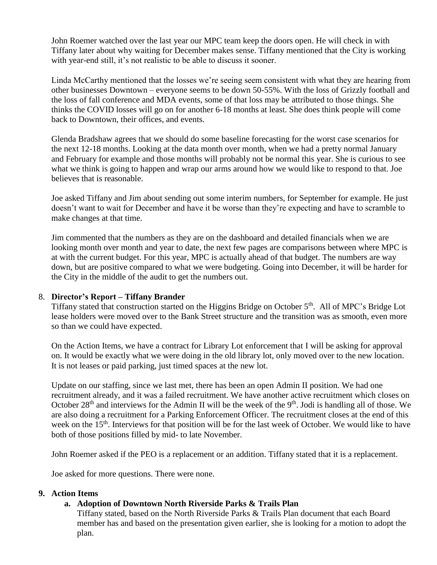John Roemer watched over the last year our MPC team keep the doors open. He will check in with Tiffany later about why waiting for December makes sense. Tiffany mentioned that the City is working with year-end still, it's not realistic to be able to discuss it sooner.

Linda McCarthy mentioned that the losses we're seeing seem consistent with what they are hearing from other businesses Downtown – everyone seems to be down 50-55%. With the loss of Grizzly football and the loss of fall conference and MDA events, some of that loss may be attributed to those things. She thinks the COVID losses will go on for another 6-18 months at least. She does think people will come back to Downtown, their offices, and events.

Glenda Bradshaw agrees that we should do some baseline forecasting for the worst case scenarios for the next 12-18 months. Looking at the data month over month, when we had a pretty normal January and February for example and those months will probably not be normal this year. She is curious to see what we think is going to happen and wrap our arms around how we would like to respond to that. Joe believes that is reasonable.

Joe asked Tiffany and Jim about sending out some interim numbers, for September for example. He just doesn't want to wait for December and have it be worse than they're expecting and have to scramble to make changes at that time.

Jim commented that the numbers as they are on the dashboard and detailed financials when we are looking month over month and year to date, the next few pages are comparisons between where MPC is at with the current budget. For this year, MPC is actually ahead of that budget. The numbers are way down, but are positive compared to what we were budgeting. Going into December, it will be harder for the City in the middle of the audit to get the numbers out.

### 8. **Director's Report – Tiffany Brander**

Tiffany stated that construction started on the Higgins Bridge on October 5<sup>th</sup>. All of MPC's Bridge Lot lease holders were moved over to the Bank Street structure and the transition was as smooth, even more so than we could have expected.

On the Action Items, we have a contract for Library Lot enforcement that I will be asking for approval on. It would be exactly what we were doing in the old library lot, only moved over to the new location. It is not leases or paid parking, just timed spaces at the new lot.

Update on our staffing, since we last met, there has been an open Admin II position. We had one recruitment already, and it was a failed recruitment. We have another active recruitment which closes on October  $28<sup>th</sup>$  and interviews for the Admin II will be the week of the 9<sup>th</sup>. Jodi is handling all of those. We are also doing a recruitment for a Parking Enforcement Officer. The recruitment closes at the end of this week on the 15<sup>th</sup>. Interviews for that position will be for the last week of October. We would like to have both of those positions filled by mid- to late November.

John Roemer asked if the PEO is a replacement or an addition. Tiffany stated that it is a replacement.

Joe asked for more questions. There were none.

### **9. Action Items**

# **a. Adoption of Downtown North Riverside Parks & Trails Plan**

Tiffany stated, based on the North Riverside Parks & Trails Plan document that each Board member has and based on the presentation given earlier, she is looking for a motion to adopt the plan.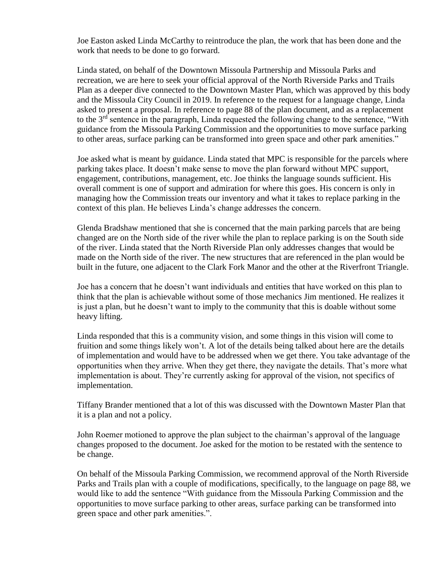Joe Easton asked Linda McCarthy to reintroduce the plan, the work that has been done and the work that needs to be done to go forward.

Linda stated, on behalf of the Downtown Missoula Partnership and Missoula Parks and recreation, we are here to seek your official approval of the North Riverside Parks and Trails Plan as a deeper dive connected to the Downtown Master Plan, which was approved by this body and the Missoula City Council in 2019. In reference to the request for a language change, Linda asked to present a proposal. In reference to page 88 of the plan document, and as a replacement to the  $3<sup>rd</sup>$  sentence in the paragraph, Linda requested the following change to the sentence, "With guidance from the Missoula Parking Commission and the opportunities to move surface parking to other areas, surface parking can be transformed into green space and other park amenities."

Joe asked what is meant by guidance. Linda stated that MPC is responsible for the parcels where parking takes place. It doesn't make sense to move the plan forward without MPC support, engagement, contributions, management, etc. Joe thinks the language sounds sufficient. His overall comment is one of support and admiration for where this goes. His concern is only in managing how the Commission treats our inventory and what it takes to replace parking in the context of this plan. He believes Linda's change addresses the concern.

Glenda Bradshaw mentioned that she is concerned that the main parking parcels that are being changed are on the North side of the river while the plan to replace parking is on the South side of the river. Linda stated that the North Riverside Plan only addresses changes that would be made on the North side of the river. The new structures that are referenced in the plan would be built in the future, one adjacent to the Clark Fork Manor and the other at the Riverfront Triangle.

Joe has a concern that he doesn't want individuals and entities that have worked on this plan to think that the plan is achievable without some of those mechanics Jim mentioned. He realizes it is just a plan, but he doesn't want to imply to the community that this is doable without some heavy lifting.

Linda responded that this is a community vision, and some things in this vision will come to fruition and some things likely won't. A lot of the details being talked about here are the details of implementation and would have to be addressed when we get there. You take advantage of the opportunities when they arrive. When they get there, they navigate the details. That's more what implementation is about. They're currently asking for approval of the vision, not specifics of implementation.

Tiffany Brander mentioned that a lot of this was discussed with the Downtown Master Plan that it is a plan and not a policy.

John Roemer motioned to approve the plan subject to the chairman's approval of the language changes proposed to the document. Joe asked for the motion to be restated with the sentence to be change.

On behalf of the Missoula Parking Commission, we recommend approval of the North Riverside Parks and Trails plan with a couple of modifications, specifically, to the language on page 88, we would like to add the sentence "With guidance from the Missoula Parking Commission and the opportunities to move surface parking to other areas, surface parking can be transformed into green space and other park amenities.".